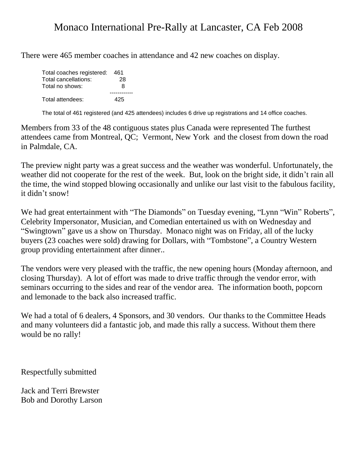## Monaco International Pre-Rally at Lancaster, CA Feb 2008

There were 465 member coaches in attendance and 42 new coaches on display.

| Total coaches registered: | 461 |
|---------------------------|-----|
| Total cancellations:      | 28  |
| Total no shows:           | 8   |
|                           |     |
| Total attendees:          | 425 |

The total of 461 registered (and 425 attendees) includes 6 drive up registrations and 14 office coaches.

Members from 33 of the 48 contiguous states plus Canada were represented The furthest attendees came from Montreal, QC; Vermont, New York and the closest from down the road in Palmdale, CA.

The preview night party was a great success and the weather was wonderful. Unfortunately, the weather did not cooperate for the rest of the week. But, look on the bright side, it didn't rain all the time, the wind stopped blowing occasionally and unlike our last visit to the fabulous facility, it didn't snow!

We had great entertainment with "The Diamonds" on Tuesday evening, "Lynn "Win" Roberts", Celebrity Impersonator, Musician, and Comedian entertained us with on Wednesday and "Swingtown" gave us a show on Thursday. Monaco night was on Friday, all of the lucky buyers (23 coaches were sold) drawing for Dollars, with "Tombstone", a Country Western group providing entertainment after dinner..

The vendors were very pleased with the traffic, the new opening hours (Monday afternoon, and closing Thursday). A lot of effort was made to drive traffic through the vendor error, with seminars occurring to the sides and rear of the vendor area. The information booth, popcorn and lemonade to the back also increased traffic.

We had a total of 6 dealers, 4 Sponsors, and 30 vendors. Our thanks to the Committee Heads and many volunteers did a fantastic job, and made this rally a success. Without them there would be no rally!

Respectfully submitted

Jack and Terri Brewster Bob and Dorothy Larson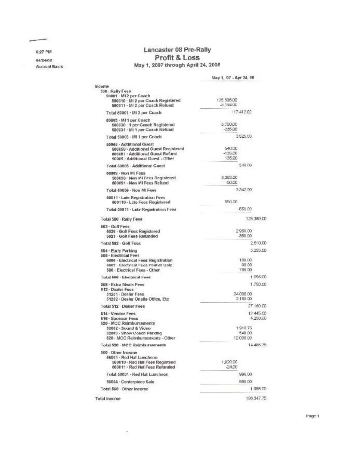6:27 PM

--

04/24/08 **Accrual Basis** 

Lancaster 08 Pre-Rally Profit & Loss May 1, 2007 through April 24, 2008

|                                                                                                                                          | May 1, '07 - Apr 24, 08        |
|------------------------------------------------------------------------------------------------------------------------------------------|--------------------------------|
| Income                                                                                                                                   |                                |
| 500 - Rally Fees<br>50001 - MI 2 per Coach<br>500010 · MI 2 per Coach Registered                                                         | 125.606.00                     |
| 500011 - MI 2 per Coach Refund                                                                                                           | -8.194.00                      |
| Total 50001 - MI 2 per Coach                                                                                                             | 117.412.00                     |
| 60003 - MI 1 per Coach                                                                                                                   |                                |
| 500030 - 1 per Coach Registered<br>500031 - MI 1 per Coach Refund                                                                        | 3,760,00<br>$-235.00$          |
| Total 50003 - MI 1 per Coach                                                                                                             | 3525.00                        |
| 50005 - Additional Guest<br>500050 - Additional Guest Registered<br>500061 - Additional Quest Refund<br>50005 - Additional Guest - Other | 100,040<br>$-135,00$<br>135.00 |
| Total 50005 - Additional Guest                                                                                                           | 540.00                         |
| 60088 - Non MI Fees<br>500090 - Non MI Fees Registered<br>600091 - Non MI Fees Refund                                                    | 3,392.00<br>-50.00             |
| Total 60009 - Non MI Fees                                                                                                                | 3342.00                        |
| 60011 · Late Registration Fees<br>500110 - Late Fees Registered                                                                          | 550.00                         |
| Total 50011 - Late Registration Fees                                                                                                     | 550.00                         |
| Total 500 · Raily Fees                                                                                                                   | 125,369.00                     |
| 602 - Golf Fees<br>5020 - Golf Fees Registered<br>5021 · Golf Fees Retunded                                                              | 2960.00<br>-350.00             |
| Total 502 Golf Focs                                                                                                                      | 2.610.00                       |
| 504 - Early Parking                                                                                                                      | 5.255.00                       |
| 506 · Electrical Fees<br>6060 - Electrical Fees Registration<br>6062 - Electrical Fees Paid at Gate<br>506 - Electrical Fees - Other     | 180.00<br>90.00<br>786.00      |
| Total 506 - Electrical Fees                                                                                                              | 1.056.00                       |
| 508 . Extra Meals Fees<br>512 - Dealer Fees                                                                                              | 1.750.00                       |
| 51201 · Dealer Fees<br>51202 · Dealer Onsite Office, Etc.                                                                                | 24 000.00<br>3.160.00          |
| Total 512 · Dealer Fees                                                                                                                  | 27.160.00                      |
| <b>514 - Vendor Fees</b><br>616 - Sponsor Fees                                                                                           | 12.445.00<br>4.250.00          |
| 520 - MCC Reimbursements<br>52002 · Sound & Video<br>52063 - Show Coach Parking<br>620 - MCC Reimbursements - Other                      | 1.918.75<br>548.00<br>12000.00 |
| Total 520 · MCC Relivibursements                                                                                                         | 14.486.75                      |
| 560 - Other Income<br>56991 - Red Hat Luncheon<br>560010 · Red Hat Fees Registeed<br>560011 - Red Hat Fees Refunded                      | 1,820.00<br>$-24.00$           |
| Total 56001 · Red Hat Luncheon                                                                                                           | 996.00                         |
| 56004 - Centerpiece Sale                                                                                                                 | 990.00                         |
| Total 660 · Other Income                                                                                                                 | 1,986.00                       |
| <b>Total Income</b>                                                                                                                      | 196.347.75                     |
|                                                                                                                                          |                                |

Page 1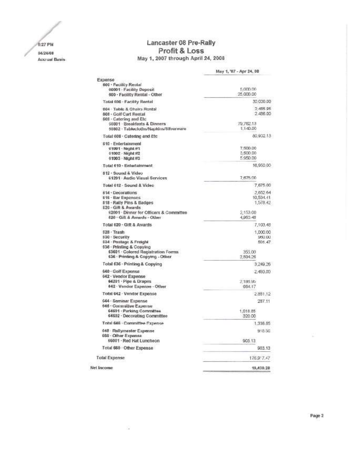8:27 PM 04/24/08 **Accrual Basis** 

## Lancaster 08 Pre-Rally Profit & Loss May 1, 2007 through April 24, 2008

|                                                                                                                                                              | May 1, '07 - Apr 24, 08                            |
|--------------------------------------------------------------------------------------------------------------------------------------------------------------|----------------------------------------------------|
| Expense<br>600 - Facility Rental<br>60001 Facility Deposit<br>600 - Facility Rental - Other                                                                  | 5,000.00<br>25,000.00                              |
| Total 600 - Facility Rental                                                                                                                                  | 30.000.00                                          |
| 604 - Toble & Chairs Rental<br>806 - Golf Carl Rental<br>608 - Catering and Etc.<br>50801 Breakfasts & Dinners                                               | 2 485 95<br>2,436.00<br>79.762.13                  |
| 50802 · Tablecloths/Napkins/Bilverware                                                                                                                       | 1.140.00                                           |
| Total 608 . Catering and Etc.                                                                                                                                | 80.902.13                                          |
| 610 - Entertainment<br>51001 - Night #1<br>51002 - Night #2<br>61003 Night #3                                                                                | 7,500.00<br>3,500.00<br>5950.00                    |
| Total £10 - Entertainment                                                                                                                                    | 16,950.00                                          |
| 812 - Sound & Video<br>61201 - Audio Visual Services                                                                                                         | 7,675.00                                           |
| Total 612 - Sound & Video                                                                                                                                    | 7,675.00                                           |
| 814 - Decorations<br><b>616 - Bar Expenses</b><br>818 · Raily Pins & Badges<br>620 - Gift & Awards                                                           | 2,652.64<br>10,534.41<br>1,578.42                  |
| 62001 Dinner for Officers & Committee<br>620 · Gift & Awards - Other                                                                                         | 2,153.00<br>4,950.48                               |
| Total 620 · Gift & Awards                                                                                                                                    | 7,103.48                                           |
| 528 · Trash<br>630 · Security<br>834 - Postage & Freight<br>636 Printing & Copying<br>63601 - Colored Registration Forms<br>636 - Printing & Copying - Other | 1,000.00<br>950.00<br>591.47<br>355,00<br>2,894.26 |
| Total 636 - Printing & Copying                                                                                                                               | 3,249.26                                           |
| <b>540 - Golf Expense</b><br>\$42 · Vendor Expense                                                                                                           | 2,450.00                                           |
| 64201 - Pipe & Drapes<br>642 · Vendor Expense - Other                                                                                                        | 2.185.95<br>664.17                                 |
| Total 642 · Vendor Expense                                                                                                                                   | 2851.12                                            |
| 644 - Seminar Expense<br>846 - Committee Expense<br>64601 - Parking Committee                                                                                | 287.11<br>1,018.85                                 |
| \$4602 - Decorating Committee                                                                                                                                | 320.00                                             |
| Total 646 . Committee Expense                                                                                                                                | 1,338.85                                           |
| 648 Railymaster Expense<br>660 - Other Expense<br>66001 · Red Hat Luncheon                                                                                   | 918.50<br>903.13                                   |
| Total 660 Other Expense                                                                                                                                      | 903.13                                             |
|                                                                                                                                                              |                                                    |
| <b>Total Expense</b>                                                                                                                                         | 176,97,47                                          |
| Net Income                                                                                                                                                   | 19,430.28                                          |

淳